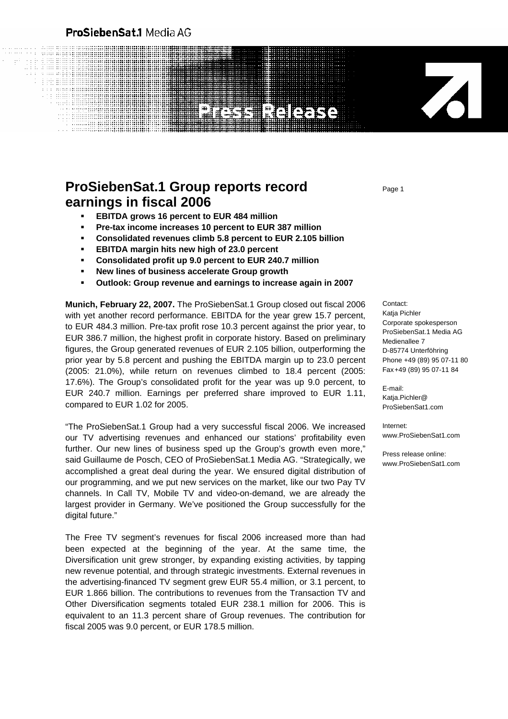# ProSiebenSat.1 Media AG

 $1.111 - 1.11$ 

# **NEIGERS**

# **ProSiebenSat.1 Group reports record earnings in fiscal 2006**

- **EBITDA grows 16 percent to EUR 484 million**
- **Pre-tax income increases 10 percent to EUR 387 million**
- **Consolidated revenues climb 5.8 percent to EUR 2.105 billion**
- **EBITDA margin hits new high of 23.0 percent**
- **Consolidated profit up 9.0 percent to EUR 240.7 million**
- **New lines of business accelerate Group growth**
- **Outlook: Group revenue and earnings to increase again in 2007**

**Munich, February 22, 2007.** The ProSiebenSat.1 Group closed out fiscal 2006 with yet another record performance. EBITDA for the year grew 15.7 percent, to EUR 484.3 million. Pre-tax profit rose 10.3 percent against the prior year, to EUR 386.7 million, the highest profit in corporate history. Based on preliminary figures, the Group generated revenues of EUR 2.105 billion, outperforming the prior year by 5.8 percent and pushing the EBITDA margin up to 23.0 percent (2005: 21.0%), while return on revenues climbed to 18.4 percent (2005: 17.6%). The Group's consolidated profit for the year was up 9.0 percent, to EUR 240.7 million. Earnings per preferred share improved to EUR 1.11, compared to EUR 1.02 for 2005.

"The ProSiebenSat.1 Group had a very successful fiscal 2006. We increased our TV advertising revenues and enhanced our stations' profitability even further. Our new lines of business sped up the Group's growth even more," said Guillaume de Posch, CEO of ProSiebenSat.1 Media AG. "Strategically, we accomplished a great deal during the year. We ensured digital distribution of our programming, and we put new services on the market, like our two Pay TV channels. In Call TV, Mobile TV and video-on-demand, we are already the largest provider in Germany. We've positioned the Group successfully for the digital future."

The Free TV segment's revenues for fiscal 2006 increased more than had been expected at the beginning of the year. At the same time, the Diversification unit grew stronger, by expanding existing activities, by tapping new revenue potential, and through strategic investments. External revenues in the advertising-financed TV segment grew EUR 55.4 million, or 3.1 percent, to EUR 1.866 billion. The contributions to revenues from the Transaction TV and Other Diversification segments totaled EUR 238.1 million for 2006. This is equivalent to an 11.3 percent share of Group revenues. The contribution for fiscal 2005 was 9.0 percent, or EUR 178.5 million.

Page 1

Contact: Katja Pichler Corporate spokesperson ProSiebenSat.1 Media AG Medienallee 7 D-85774 Unterföhring Phone +49 (89) 95 07-11 80 Fax +49 (89) 95 07-11 84

Z

E-mail: Katja.Pichler@ ProSiebenSat1.com

Internet: www.ProSiebenSat1.com

Press release online: www.ProSiebenSat1.com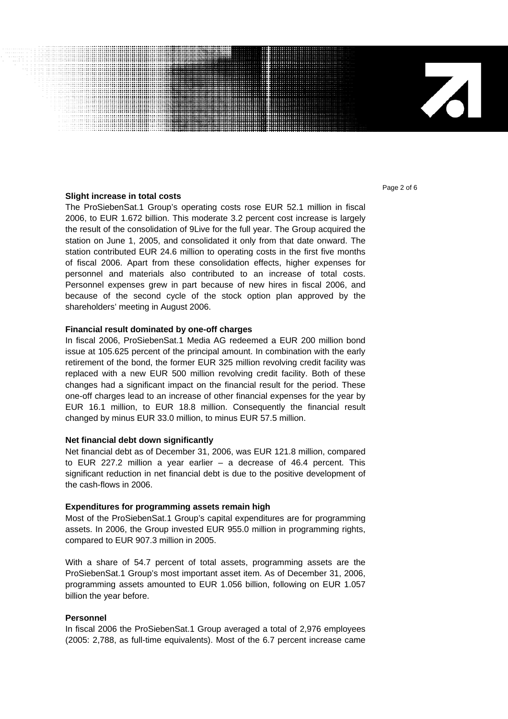## **Slight increase in total costs**

The ProSiebenSat.1 Group's operating costs rose EUR 52.1 million in fiscal 2006, to EUR 1.672 billion. This moderate 3.2 percent cost increase is largely the result of the consolidation of 9Live for the full year. The Group acquired the station on June 1, 2005, and consolidated it only from that date onward. The station contributed EUR 24.6 million to operating costs in the first five months of fiscal 2006. Apart from these consolidation effects, higher expenses for personnel and materials also contributed to an increase of total costs. Personnel expenses grew in part because of new hires in fiscal 2006, and because of the second cycle of the stock option plan approved by the shareholders' meeting in August 2006.

## **Financial result dominated by one-off charges**

In fiscal 2006, ProSiebenSat.1 Media AG redeemed a EUR 200 million bond issue at 105.625 percent of the principal amount. In combination with the early retirement of the bond, the former EUR 325 million revolving credit facility was replaced with a new EUR 500 million revolving credit facility. Both of these changes had a significant impact on the financial result for the period. These one-off charges lead to an increase of other financial expenses for the year by EUR 16.1 million, to EUR 18.8 million. Consequently the financial result changed by minus EUR 33.0 million, to minus EUR 57.5 million.

# **Net financial debt down significantly**

Net financial debt as of December 31, 2006, was EUR 121.8 million, compared to EUR 227.2 million a year earlier – a decrease of 46.4 percent. This significant reduction in net financial debt is due to the positive development of the cash-flows in 2006.

# **Expenditures for programming assets remain high**

Most of the ProSiebenSat.1 Group's capital expenditures are for programming assets. In 2006, the Group invested EUR 955.0 million in programming rights, compared to EUR 907.3 million in 2005.

With a share of 54.7 percent of total assets, programming assets are the ProSiebenSat.1 Group's most important asset item. As of December 31, 2006, programming assets amounted to EUR 1.056 billion, following on EUR 1.057 billion the year before.

# **Personnel**

In fiscal 2006 the ProSiebenSat.1 Group averaged a total of 2,976 employees (2005: 2,788, as full-time equivalents). Most of the 6.7 percent increase came Page 2 of 6

Z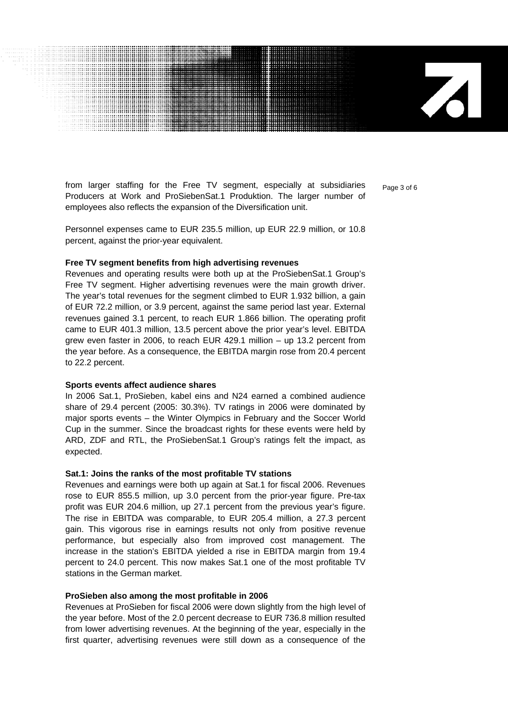from larger staffing for the Free TV segment, especially at subsidiaries  $_{\text{Page 3 of 6}}$ Producers at Work and ProSiebenSat.1 Produktion. The larger number of employees also reflects the expansion of the Diversification unit.

Personnel expenses came to EUR 235.5 million, up EUR 22.9 million, or 10.8 percent, against the prior-year equivalent.

#### **Free TV segment benefits from high advertising revenues**

Revenues and operating results were both up at the ProSiebenSat.1 Group's Free TV segment. Higher advertising revenues were the main growth driver. The year's total revenues for the segment climbed to EUR 1.932 billion, a gain of EUR 72.2 million, or 3.9 percent, against the same period last year. External revenues gained 3.1 percent, to reach EUR 1.866 billion. The operating profit came to EUR 401.3 million, 13.5 percent above the prior year's level. EBITDA grew even faster in 2006, to reach EUR 429.1 million – up 13.2 percent from the year before. As a consequence, the EBITDA margin rose from 20.4 percent to 22.2 percent.

#### **Sports events affect audience shares**

In 2006 Sat.1, ProSieben, kabel eins and N24 earned a combined audience share of 29.4 percent (2005: 30.3%). TV ratings in 2006 were dominated by major sports events – the Winter Olympics in February and the Soccer World Cup in the summer. Since the broadcast rights for these events were held by ARD, ZDF and RTL, the ProSiebenSat.1 Group's ratings felt the impact, as expected.

#### **Sat.1: Joins the ranks of the most profitable TV stations**

Revenues and earnings were both up again at Sat.1 for fiscal 2006. Revenues rose to EUR 855.5 million, up 3.0 percent from the prior-year figure. Pre-tax profit was EUR 204.6 million, up 27.1 percent from the previous year's figure. The rise in EBITDA was comparable, to EUR 205.4 million, a 27.3 percent gain. This vigorous rise in earnings results not only from positive revenue performance, but especially also from improved cost management. The increase in the station's EBITDA yielded a rise in EBITDA margin from 19.4 percent to 24.0 percent. This now makes Sat.1 one of the most profitable TV stations in the German market.

#### **ProSieben also among the most profitable in 2006**

Revenues at ProSieben for fiscal 2006 were down slightly from the high level of the year before. Most of the 2.0 percent decrease to EUR 736.8 million resulted from lower advertising revenues. At the beginning of the year, especially in the first quarter, advertising revenues were still down as a consequence of the

 $\mathbf{Z}$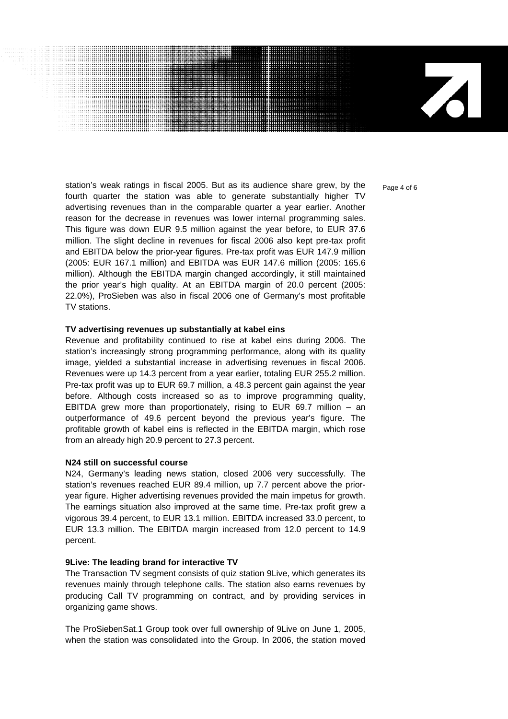71

station's weak ratings in fiscal 2005. But as its audience share grew, by the  $P_{\text{a}ae 4 of 6}$ fourth quarter the station was able to generate substantially higher TV advertising revenues than in the comparable quarter a year earlier. Another reason for the decrease in revenues was lower internal programming sales. This figure was down EUR 9.5 million against the year before, to EUR 37.6 million. The slight decline in revenues for fiscal 2006 also kept pre-tax profit and EBITDA below the prior-year figures. Pre-tax profit was EUR 147.9 million (2005: EUR 167.1 million) and EBITDA was EUR 147.6 million (2005: 165.6 million). Although the EBITDA margin changed accordingly, it still maintained the prior year's high quality. At an EBITDA margin of 20.0 percent (2005: 22.0%), ProSieben was also in fiscal 2006 one of Germany's most profitable TV stations.

#### **TV advertising revenues up substantially at kabel eins**

Revenue and profitability continued to rise at kabel eins during 2006. The station's increasingly strong programming performance, along with its quality image, yielded a substantial increase in advertising revenues in fiscal 2006. Revenues were up 14.3 percent from a year earlier, totaling EUR 255.2 million. Pre-tax profit was up to EUR 69.7 million, a 48.3 percent gain against the year before. Although costs increased so as to improve programming quality, EBITDA grew more than proportionately, rising to EUR 69.7 million – an outperformance of 49.6 percent beyond the previous year's figure. The profitable growth of kabel eins is reflected in the EBITDA margin, which rose from an already high 20.9 percent to 27.3 percent.

#### **N24 still on successful course**

N24, Germany's leading news station, closed 2006 very successfully. The station's revenues reached EUR 89.4 million, up 7.7 percent above the prioryear figure. Higher advertising revenues provided the main impetus for growth. The earnings situation also improved at the same time. Pre-tax profit grew a vigorous 39.4 percent, to EUR 13.1 million. EBITDA increased 33.0 percent, to EUR 13.3 million. The EBITDA margin increased from 12.0 percent to 14.9 percent.

#### **9Live: The leading brand for interactive TV**

The Transaction TV segment consists of quiz station 9Live, which generates its revenues mainly through telephone calls. The station also earns revenues by producing Call TV programming on contract, and by providing services in organizing game shows.

The ProSiebenSat.1 Group took over full ownership of 9Live on June 1, 2005, when the station was consolidated into the Group. In 2006, the station moved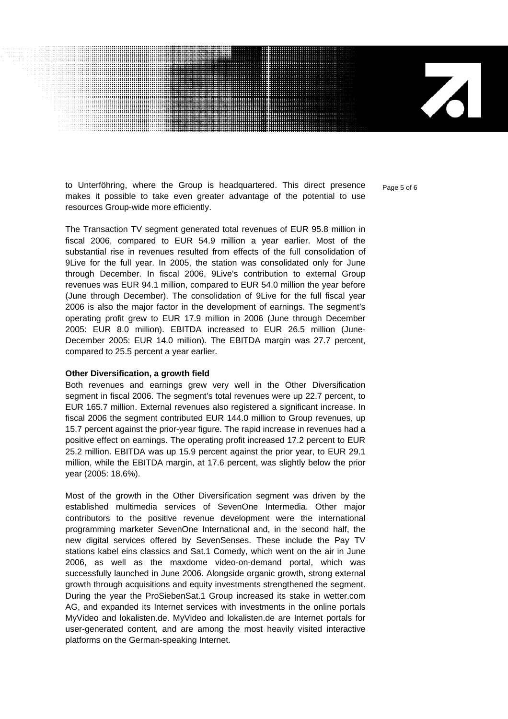to Unterföhring, where the Group is headquartered. This direct presence  $_{\text{Page 5 of 6}}$ makes it possible to take even greater advantage of the potential to use resources Group-wide more efficiently.

The Transaction TV segment generated total revenues of EUR 95.8 million in fiscal 2006, compared to EUR 54.9 million a year earlier. Most of the substantial rise in revenues resulted from effects of the full consolidation of 9Live for the full year. In 2005, the station was consolidated only for June through December. In fiscal 2006, 9Live's contribution to external Group revenues was EUR 94.1 million, compared to EUR 54.0 million the year before (June through December). The consolidation of 9Live for the full fiscal year 2006 is also the major factor in the development of earnings. The segment's operating profit grew to EUR 17.9 million in 2006 (June through December 2005: EUR 8.0 million). EBITDA increased to EUR 26.5 million (June-December 2005: EUR 14.0 million). The EBITDA margin was 27.7 percent, compared to 25.5 percent a year earlier.

#### **Other Diversification, a growth field**

Both revenues and earnings grew very well in the Other Diversification segment in fiscal 2006. The segment's total revenues were up 22.7 percent, to EUR 165.7 million. External revenues also registered a significant increase. In fiscal 2006 the segment contributed EUR 144.0 million to Group revenues, up 15.7 percent against the prior-year figure. The rapid increase in revenues had a positive effect on earnings. The operating profit increased 17.2 percent to EUR 25.2 million. EBITDA was up 15.9 percent against the prior year, to EUR 29.1 million, while the EBITDA margin, at 17.6 percent, was slightly below the prior year (2005: 18.6%).

Most of the growth in the Other Diversification segment was driven by the established multimedia services of SevenOne Intermedia. Other major contributors to the positive revenue development were the international programming marketer SevenOne International and, in the second half, the new digital services offered by SevenSenses. These include the Pay TV stations kabel eins classics and Sat.1 Comedy, which went on the air in June 2006, as well as the maxdome video-on-demand portal, which was successfully launched in June 2006. Alongside organic growth, strong external growth through acquisitions and equity investments strengthened the segment. During the year the ProSiebenSat.1 Group increased its stake in wetter.com AG, and expanded its Internet services with investments in the online portals MyVideo and lokalisten.de. MyVideo and lokalisten.de are Internet portals for user-generated content, and are among the most heavily visited interactive platforms on the German-speaking Internet.

71